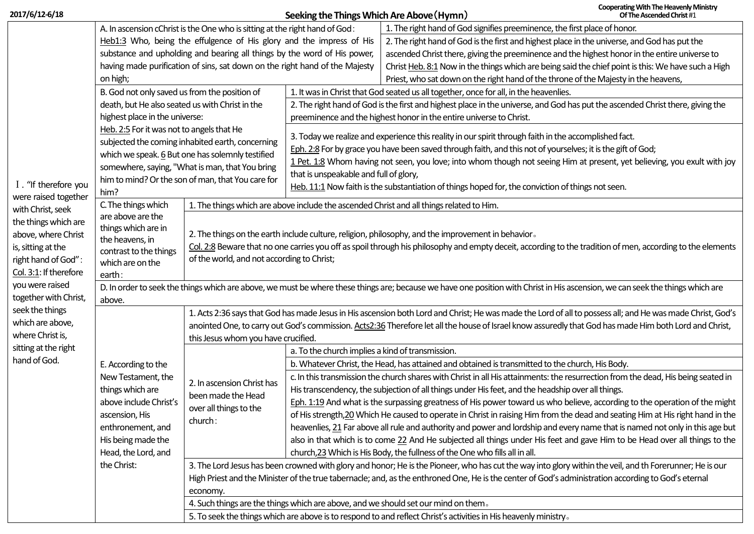| 2017/6/12-6/18                                                                                                  |                                                                                                                                                                                |                                                                                                                                                                                                                                                                                                                | Seeking the Things Which Are Above (Hymn)                                                                                      |                                                                                                                                                                                                                      | <b>Cooperating With The Heavenly Ministry</b><br>Of The Ascended Christ #1 |  |  |
|-----------------------------------------------------------------------------------------------------------------|--------------------------------------------------------------------------------------------------------------------------------------------------------------------------------|----------------------------------------------------------------------------------------------------------------------------------------------------------------------------------------------------------------------------------------------------------------------------------------------------------------|--------------------------------------------------------------------------------------------------------------------------------|----------------------------------------------------------------------------------------------------------------------------------------------------------------------------------------------------------------------|----------------------------------------------------------------------------|--|--|
|                                                                                                                 | A. In ascension cChrist is the One who is sitting at the right hand of God:                                                                                                    |                                                                                                                                                                                                                                                                                                                |                                                                                                                                | 1. The right hand of God signifies preeminence, the first place of honor.                                                                                                                                            |                                                                            |  |  |
|                                                                                                                 | Heb1:3 Who, being the effulgence of His glory and the impress of His                                                                                                           |                                                                                                                                                                                                                                                                                                                |                                                                                                                                | 2. The right hand of God is the first and highest place in the universe, and God has put the                                                                                                                         |                                                                            |  |  |
|                                                                                                                 | substance and upholding and bearing all things by the word of His power,                                                                                                       |                                                                                                                                                                                                                                                                                                                |                                                                                                                                | ascended Christ there, giving the preeminence and the highest honor in the entire universe to                                                                                                                        |                                                                            |  |  |
|                                                                                                                 |                                                                                                                                                                                | having made purification of sins, sat down on the right hand of the Majesty                                                                                                                                                                                                                                    |                                                                                                                                | Christ Heb. 8:1 Now in the things which are being said the chief point is this: We have such a High                                                                                                                  |                                                                            |  |  |
|                                                                                                                 | on high;                                                                                                                                                                       |                                                                                                                                                                                                                                                                                                                |                                                                                                                                | Priest, who sat down on the right hand of the throne of the Majesty in the heavens,                                                                                                                                  |                                                                            |  |  |
|                                                                                                                 | B. God not only saved us from the position of                                                                                                                                  |                                                                                                                                                                                                                                                                                                                |                                                                                                                                | 1. It was in Christ that God seated us all together, once for all, in the heavenlies.                                                                                                                                |                                                                            |  |  |
|                                                                                                                 | death, but He also seated us with Christ in the                                                                                                                                |                                                                                                                                                                                                                                                                                                                | 2. The right hand of God is the first and highest place in the universe, and God has put the ascended Christ there, giving the |                                                                                                                                                                                                                      |                                                                            |  |  |
|                                                                                                                 | highest place in the universe:                                                                                                                                                 |                                                                                                                                                                                                                                                                                                                | preeminence and the highest honor in the entire universe to Christ.                                                            |                                                                                                                                                                                                                      |                                                                            |  |  |
|                                                                                                                 | Heb. 2:5 For it was not to angels that He                                                                                                                                      |                                                                                                                                                                                                                                                                                                                |                                                                                                                                |                                                                                                                                                                                                                      |                                                                            |  |  |
|                                                                                                                 |                                                                                                                                                                                | subjected the coming inhabited earth, concerning                                                                                                                                                                                                                                                               |                                                                                                                                | 3. Today we realize and experience this reality in our spirit through faith in the accomplished fact.<br>Eph. 2:8 For by grace you have been saved through faith, and this not of yourselves; it is the gift of God; |                                                                            |  |  |
|                                                                                                                 |                                                                                                                                                                                | which we speak. 6 But one has solemnly testified                                                                                                                                                                                                                                                               | 1 Pet. 1:8 Whom having not seen, you love; into whom though not seeing Him at present, yet believing, you exult with joy       |                                                                                                                                                                                                                      |                                                                            |  |  |
|                                                                                                                 |                                                                                                                                                                                | somewhere, saying, "What is man, that You bring                                                                                                                                                                                                                                                                | that is unspeakable and full of glory,                                                                                         |                                                                                                                                                                                                                      |                                                                            |  |  |
| I. "If therefore you                                                                                            | him to mind? Or the son of man, that You care for                                                                                                                              |                                                                                                                                                                                                                                                                                                                | Heb. 11:1 Now faith is the substantiation of things hoped for, the conviction of things not seen.                              |                                                                                                                                                                                                                      |                                                                            |  |  |
| were raised together<br>with Christ, seek<br>the things which are                                               | him?                                                                                                                                                                           |                                                                                                                                                                                                                                                                                                                |                                                                                                                                |                                                                                                                                                                                                                      |                                                                            |  |  |
|                                                                                                                 | C. The things which<br>are above are the                                                                                                                                       | 1. The things which are above include the ascended Christ and all things related to Him.                                                                                                                                                                                                                       |                                                                                                                                |                                                                                                                                                                                                                      |                                                                            |  |  |
|                                                                                                                 | things which are in                                                                                                                                                            | 2. The things on the earth include culture, religion, philosophy, and the improvement in behavior.<br>Col. 2:8 Beware that no one carries you off as spoil through his philosophy and empty deceit, according to the tradition of men, according to the elements<br>of the world, and not according to Christ; |                                                                                                                                |                                                                                                                                                                                                                      |                                                                            |  |  |
| above, where Christ                                                                                             | the heavens, in                                                                                                                                                                |                                                                                                                                                                                                                                                                                                                |                                                                                                                                |                                                                                                                                                                                                                      |                                                                            |  |  |
| is, sitting at the<br>right hand of God":<br>Col. 3:1: If therefore<br>you were raised<br>together with Christ, | contrast to the things                                                                                                                                                         |                                                                                                                                                                                                                                                                                                                |                                                                                                                                |                                                                                                                                                                                                                      |                                                                            |  |  |
|                                                                                                                 | which are on the                                                                                                                                                               |                                                                                                                                                                                                                                                                                                                |                                                                                                                                |                                                                                                                                                                                                                      |                                                                            |  |  |
|                                                                                                                 | earth:                                                                                                                                                                         |                                                                                                                                                                                                                                                                                                                |                                                                                                                                |                                                                                                                                                                                                                      |                                                                            |  |  |
|                                                                                                                 | D. In order to seek the things which are above, we must be where these things are; because we have one position with Christ in His ascension, we can seek the things which are |                                                                                                                                                                                                                                                                                                                |                                                                                                                                |                                                                                                                                                                                                                      |                                                                            |  |  |
|                                                                                                                 | above.                                                                                                                                                                         |                                                                                                                                                                                                                                                                                                                |                                                                                                                                |                                                                                                                                                                                                                      |                                                                            |  |  |
| seek the things                                                                                                 | E. According to the<br>New Testament, the<br>things which are<br>above include Christ's<br>ascension, His                                                                      | 1. Acts 2:36 says that God has made Jesus in His ascension both Lord and Christ; He was made the Lord of all to possess all; and He was made Christ, God's                                                                                                                                                     |                                                                                                                                |                                                                                                                                                                                                                      |                                                                            |  |  |
| which are above,                                                                                                |                                                                                                                                                                                | anointed One, to carry out God's commission. Acts2:36 Therefore let all the house of Israel know assuredly that God has made Him both Lord and Christ,                                                                                                                                                         |                                                                                                                                |                                                                                                                                                                                                                      |                                                                            |  |  |
| where Christ is,<br>sitting at the right                                                                        |                                                                                                                                                                                | this Jesus whom you have crucified.                                                                                                                                                                                                                                                                            |                                                                                                                                |                                                                                                                                                                                                                      |                                                                            |  |  |
| hand of God.                                                                                                    |                                                                                                                                                                                | 2. In ascension Christ has<br>been made the Head<br>over all things to the<br>church:                                                                                                                                                                                                                          | a. To the church implies a kind of transmission.                                                                               |                                                                                                                                                                                                                      |                                                                            |  |  |
|                                                                                                                 |                                                                                                                                                                                |                                                                                                                                                                                                                                                                                                                |                                                                                                                                | b. Whatever Christ, the Head, has attained and obtained is transmitted to the church, His Body.                                                                                                                      |                                                                            |  |  |
|                                                                                                                 |                                                                                                                                                                                |                                                                                                                                                                                                                                                                                                                |                                                                                                                                | c. In this transmission the church shares with Christ in all His attainments: the resurrection from the dead, His being seated in                                                                                    |                                                                            |  |  |
|                                                                                                                 |                                                                                                                                                                                |                                                                                                                                                                                                                                                                                                                |                                                                                                                                | His transcendency, the subjection of all things under His feet, and the headship over all things.                                                                                                                    |                                                                            |  |  |
|                                                                                                                 |                                                                                                                                                                                |                                                                                                                                                                                                                                                                                                                |                                                                                                                                | Eph. 1:19 And what is the surpassing greatness of His power toward us who believe, according to the operation of the might                                                                                           |                                                                            |  |  |
|                                                                                                                 |                                                                                                                                                                                |                                                                                                                                                                                                                                                                                                                |                                                                                                                                | of His strength, 20 Which He caused to operate in Christ in raising Him from the dead and seating Him at His right hand in the                                                                                       |                                                                            |  |  |
|                                                                                                                 | enthronement, and                                                                                                                                                              |                                                                                                                                                                                                                                                                                                                |                                                                                                                                | heavenlies, 21 Far above all rule and authority and power and lordship and every name that is named not only in this age but                                                                                         |                                                                            |  |  |
|                                                                                                                 | His being made the                                                                                                                                                             |                                                                                                                                                                                                                                                                                                                |                                                                                                                                | also in that which is to come 22 And He subjected all things under His feet and gave Him to be Head over all things to the                                                                                           |                                                                            |  |  |
|                                                                                                                 | Head, the Lord, and                                                                                                                                                            |                                                                                                                                                                                                                                                                                                                |                                                                                                                                | church, 23 Which is His Body, the fullness of the One who fills all in all.                                                                                                                                          |                                                                            |  |  |
|                                                                                                                 | the Christ:                                                                                                                                                                    | 3. The Lord Jesus has been crowned with glory and honor; He is the Pioneer, who has cut the way into glory within the veil, and th Forerunner; He is our                                                                                                                                                       |                                                                                                                                |                                                                                                                                                                                                                      |                                                                            |  |  |
|                                                                                                                 |                                                                                                                                                                                | High Priest and the Minister of the true tabernacle; and, as the enthroned One, He is the center of God's administration according to God's eternal                                                                                                                                                            |                                                                                                                                |                                                                                                                                                                                                                      |                                                                            |  |  |
|                                                                                                                 |                                                                                                                                                                                | economy.                                                                                                                                                                                                                                                                                                       |                                                                                                                                |                                                                                                                                                                                                                      |                                                                            |  |  |
|                                                                                                                 |                                                                                                                                                                                | 4. Such things are the things which are above, and we should set our mind on them.                                                                                                                                                                                                                             |                                                                                                                                |                                                                                                                                                                                                                      |                                                                            |  |  |
|                                                                                                                 |                                                                                                                                                                                | 5. To seek the things which are above is to respond to and reflect Christ's activities in His heavenly ministry.                                                                                                                                                                                               |                                                                                                                                |                                                                                                                                                                                                                      |                                                                            |  |  |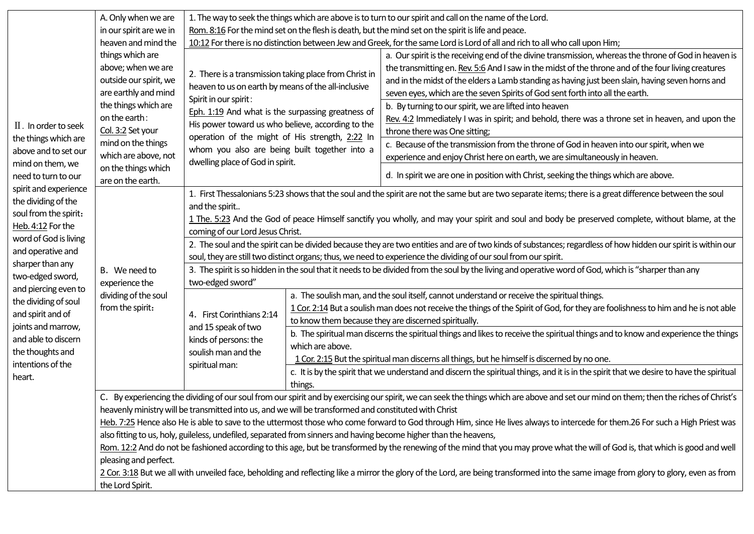|                                                                                                                                                                                                                                                                                                                                                                                                                                                                                    | A. Only when we are                                                                                                                                                                                                                                                                             | 1. The way to seek the things which are above is to turn to our spirit and call on the name of the Lord.                                                                                                                                                                                                                                                           |                                                                                                                                                                                                                                                                                           |                                                                                                                                                                                                                                                                                                                                                                                                   |  |  |  |  |
|------------------------------------------------------------------------------------------------------------------------------------------------------------------------------------------------------------------------------------------------------------------------------------------------------------------------------------------------------------------------------------------------------------------------------------------------------------------------------------|-------------------------------------------------------------------------------------------------------------------------------------------------------------------------------------------------------------------------------------------------------------------------------------------------|--------------------------------------------------------------------------------------------------------------------------------------------------------------------------------------------------------------------------------------------------------------------------------------------------------------------------------------------------------------------|-------------------------------------------------------------------------------------------------------------------------------------------------------------------------------------------------------------------------------------------------------------------------------------------|---------------------------------------------------------------------------------------------------------------------------------------------------------------------------------------------------------------------------------------------------------------------------------------------------------------------------------------------------------------------------------------------------|--|--|--|--|
|                                                                                                                                                                                                                                                                                                                                                                                                                                                                                    | in our spirit are we in                                                                                                                                                                                                                                                                         | Rom. 8:16 For the mind set on the flesh is death, but the mind set on the spirit is life and peace.                                                                                                                                                                                                                                                                |                                                                                                                                                                                                                                                                                           |                                                                                                                                                                                                                                                                                                                                                                                                   |  |  |  |  |
| $\mathbb I$ . In order to seek<br>the things which are<br>above and to set our<br>mind on them, we<br>need to turn to our<br>spirit and experience<br>the dividing of the<br>soul from the spirit:<br>Heb. 4:12 For the<br>word of God is living<br>and operative and<br>sharper than any<br>two-edged sword,<br>and piercing even to<br>the dividing of soul<br>and spirit and of<br>joints and marrow,<br>and able to discern<br>the thoughts and<br>intentions of the<br>heart. | heaven and mind the<br>things which are<br>above; when we are<br>outside our spirit, we<br>are earthly and mind<br>the things which are<br>on the earth:<br>Col. 3:2 Set your<br>mind on the things<br>which are above, not<br>on the things which<br>are on the earth.                         | 10:12 For there is no distinction between Jew and Greek, for the same Lord is Lord of all and rich to all who call upon Him;                                                                                                                                                                                                                                       |                                                                                                                                                                                                                                                                                           |                                                                                                                                                                                                                                                                                                                                                                                                   |  |  |  |  |
|                                                                                                                                                                                                                                                                                                                                                                                                                                                                                    |                                                                                                                                                                                                                                                                                                 | 2. There is a transmission taking place from Christ in<br>heaven to us on earth by means of the all-inclusive                                                                                                                                                                                                                                                      |                                                                                                                                                                                                                                                                                           | a. Our spirit is the receiving end of the divine transmission, whereas the throne of God in heaven is<br>the transmitting en. Rev. 5:6 And I saw in the midst of the throne and of the four living creatures<br>and in the midst of the elders a Lamb standing as having just been slain, having seven horns and<br>seven eyes, which are the seven Spirits of God sent forth into all the earth. |  |  |  |  |
|                                                                                                                                                                                                                                                                                                                                                                                                                                                                                    |                                                                                                                                                                                                                                                                                                 | Spirit in our spirit:<br>Eph. 1:19 And what is the surpassing greatness of<br>His power toward us who believe, according to the<br>operation of the might of His strength, 2:22 In<br>whom you also are being built together into a<br>dwelling place of God in spirit.                                                                                            |                                                                                                                                                                                                                                                                                           | b. By turning to our spirit, we are lifted into heaven<br>Rev. 4:2 Immediately I was in spirit; and behold, there was a throne set in heaven, and upon the<br>throne there was One sitting;                                                                                                                                                                                                       |  |  |  |  |
|                                                                                                                                                                                                                                                                                                                                                                                                                                                                                    |                                                                                                                                                                                                                                                                                                 |                                                                                                                                                                                                                                                                                                                                                                    |                                                                                                                                                                                                                                                                                           | c. Because of the transmission from the throne of God in heaven into our spirit, when we<br>experience and enjoy Christ here on earth, we are simultaneously in heaven.                                                                                                                                                                                                                           |  |  |  |  |
|                                                                                                                                                                                                                                                                                                                                                                                                                                                                                    |                                                                                                                                                                                                                                                                                                 |                                                                                                                                                                                                                                                                                                                                                                    |                                                                                                                                                                                                                                                                                           | d. In spirit we are one in position with Christ, seeking the things which are above.                                                                                                                                                                                                                                                                                                              |  |  |  |  |
|                                                                                                                                                                                                                                                                                                                                                                                                                                                                                    | B. We need to<br>experience the<br>dividing of the soul<br>from the spirit:                                                                                                                                                                                                                     | 1. First Thessalonians 5:23 shows that the soul and the spirit are not the same but are two separate items; there is a great difference between the soul<br>and the spirit<br>1 The. 5:23 And the God of peace Himself sanctify you wholly, and may your spirit and soul and body be preserved complete, without blame, at the<br>coming of our Lord Jesus Christ. |                                                                                                                                                                                                                                                                                           |                                                                                                                                                                                                                                                                                                                                                                                                   |  |  |  |  |
|                                                                                                                                                                                                                                                                                                                                                                                                                                                                                    |                                                                                                                                                                                                                                                                                                 | 2. The soul and the spirit can be divided because they are two entities and are of two kinds of substances; regardless of how hidden our spirit is within our<br>soul, they are still two distinct organs; thus, we need to experience the dividing of our soul from our spirit.                                                                                   |                                                                                                                                                                                                                                                                                           |                                                                                                                                                                                                                                                                                                                                                                                                   |  |  |  |  |
|                                                                                                                                                                                                                                                                                                                                                                                                                                                                                    |                                                                                                                                                                                                                                                                                                 | 3. The spirit is so hidden in the soul that it needs to be divided from the soul by the living and operative word of God, which is "sharper than any<br>two-edged sword"                                                                                                                                                                                           |                                                                                                                                                                                                                                                                                           |                                                                                                                                                                                                                                                                                                                                                                                                   |  |  |  |  |
|                                                                                                                                                                                                                                                                                                                                                                                                                                                                                    |                                                                                                                                                                                                                                                                                                 | 4. First Corinthians 2:14<br>and 15 speak of two<br>kinds of persons: the<br>soulish man and the<br>spiritual man:                                                                                                                                                                                                                                                 | a. The soulish man, and the soul itself, cannot understand or receive the spiritual things.<br>1 Cor. 2:14 But a soulish man does not receive the things of the Spirit of God, for they are foolishness to him and he is not able<br>to know them because they are discerned spiritually. |                                                                                                                                                                                                                                                                                                                                                                                                   |  |  |  |  |
|                                                                                                                                                                                                                                                                                                                                                                                                                                                                                    |                                                                                                                                                                                                                                                                                                 |                                                                                                                                                                                                                                                                                                                                                                    | b. The spiritual man discerns the spiritual things and likes to receive the spiritual things and to know and experience the things<br>which are above.<br>1 Cor. 2:15 But the spiritual man discerns all things, but he himself is discerned by no one.                                   |                                                                                                                                                                                                                                                                                                                                                                                                   |  |  |  |  |
|                                                                                                                                                                                                                                                                                                                                                                                                                                                                                    |                                                                                                                                                                                                                                                                                                 |                                                                                                                                                                                                                                                                                                                                                                    | c. It is by the spirit that we understand and discern the spiritual things, and it is in the spirit that we desire to have the spiritual<br>things.                                                                                                                                       |                                                                                                                                                                                                                                                                                                                                                                                                   |  |  |  |  |
|                                                                                                                                                                                                                                                                                                                                                                                                                                                                                    | C. By experiencing the dividing of our soul from our spirit and by exercising our spirit, we can seek the things which are above and set our mind on them; then the riches of Christ's<br>heavenly ministry will be transmitted into us, and we will be transformed and constituted with Christ |                                                                                                                                                                                                                                                                                                                                                                    |                                                                                                                                                                                                                                                                                           |                                                                                                                                                                                                                                                                                                                                                                                                   |  |  |  |  |
|                                                                                                                                                                                                                                                                                                                                                                                                                                                                                    |                                                                                                                                                                                                                                                                                                 |                                                                                                                                                                                                                                                                                                                                                                    | Heb. 7:25 Hence also He is able to save to the uttermost those who come forward to God through Him, since He lives always to intercede for them.26 For such a High Priest was                                                                                                             |                                                                                                                                                                                                                                                                                                                                                                                                   |  |  |  |  |
|                                                                                                                                                                                                                                                                                                                                                                                                                                                                                    | also fitting to us, holy, guileless, undefiled, separated from sinners and having become higher than the heavens,                                                                                                                                                                               |                                                                                                                                                                                                                                                                                                                                                                    |                                                                                                                                                                                                                                                                                           |                                                                                                                                                                                                                                                                                                                                                                                                   |  |  |  |  |
|                                                                                                                                                                                                                                                                                                                                                                                                                                                                                    | Rom. 12:2 And do not be fashioned according to this age, but be transformed by the renewing of the mind that you may prove what the will of God is, that which is good and well<br>pleasing and perfect.                                                                                        |                                                                                                                                                                                                                                                                                                                                                                    |                                                                                                                                                                                                                                                                                           |                                                                                                                                                                                                                                                                                                                                                                                                   |  |  |  |  |
|                                                                                                                                                                                                                                                                                                                                                                                                                                                                                    | 2 Cor. 3:18 But we all with unveiled face, beholding and reflecting like a mirror the glory of the Lord, are being transformed into the same image from glory to glory, even as from<br>the Lord Spirit.                                                                                        |                                                                                                                                                                                                                                                                                                                                                                    |                                                                                                                                                                                                                                                                                           |                                                                                                                                                                                                                                                                                                                                                                                                   |  |  |  |  |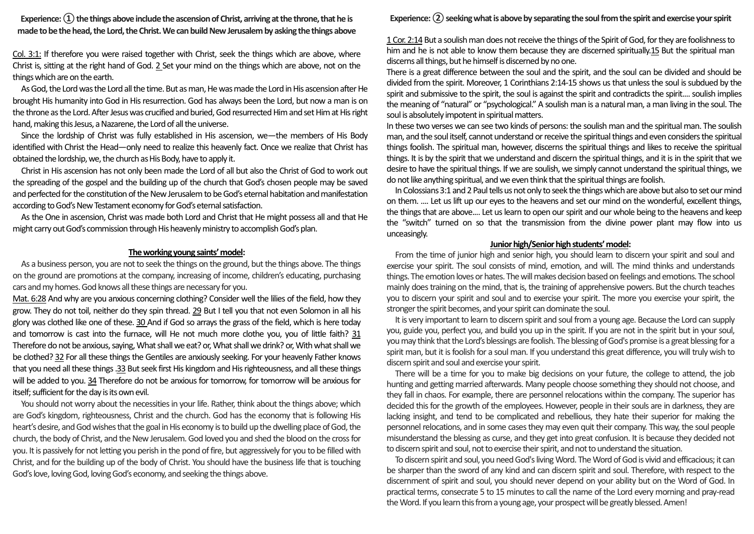**Experience: ① the things above include the ascension of Christ, arriving at the throne, that he is made to be the head, the Lord, the Christ. We can build New Jerusalem by asking the things above**

Col. 3:1: If therefore you were raised together with Christ, seek the things which are above, where Christ is, sitting at the right hand of God. 2 Set your mind on the things which are above, not on the things which are on the earth.

As God, the Lord was the Lord all the time. But as man, He was made the Lord in His ascension after He brought His humanity into God in His resurrection. God has always been the Lord, but now a man is on the throne as the Lord. After Jesus was crucified and buried, God resurrected Him and set Him at His right hand, making this Jesus, a Nazarene, the Lord of all the universe.

Since the lordship of Christ was fully established in His ascension, we—the members of His Body identified with Christ the Head—only need to realize this heavenly fact. Once we realize that Christ has obtained the lordship, we, the church as His Body, have to apply it.

Christ in His ascension has not only been made the Lord of all but also the Christ of God to work out the spreading of the gospel and the building up of the church that God's chosen people may be saved and perfected for the constitution of the New Jerusalem to be God's eternal habitation and manifestation according to God's New Testament economy for God's eternal satisfaction.

As the One in ascension, Christ was made both Lord and Christ that He might possess all and that He might carry out God's commission through His heavenly ministry to accomplish God's plan.

### **The working young saints' model:**

As a business person, you are not to seek the things on the ground, but the things above. The things on the ground are promotions at the company, increasing of income, children's educating, purchasing cars and my homes. God knows all these things are necessary for you.

Mat. 6:28 And why are you anxious concerning clothing? Consider well the lilies of the field, how they grow. They do not toil, neither do they spin thread. 29 But I tell you that not even Solomon in all his glory was clothed like one of these. 30 And if God so arrays the grass of the field, which is here today and tomorrow is cast into the furnace, will He not much more clothe you, you of little faith? 31 Therefore do not be anxious, saying, What shall we eat? or, What shall we drink? or, With what shall we be clothed? 32 For all these things the Gentiles are anxiously seeking. For your heavenly Father knows that you need all these things .33 But seek first His kingdom and His righteousness, and all these things will be added to you. 34 Therefore do not be anxious for tomorrow, for tomorrow will be anxious for itself; sufficient for the day is its own evil.

You should not worry about the necessities in your life. Rather, think about the things above; which are God's kingdom, righteousness, Christ and the church. God has the economy that is following His heart's desire, and God wishes that the goal in His economy is to build up the dwelling place of God, the church, the body of Christ, and the New Jerusalem. God loved you and shed the blood on the cross for you. It is passively for not letting you perish in the pond of fire, but aggressively for you to be filled with Christ, and for the building up of the body of Christ. You should have the business life that is touching God's love, loving God, loving God's economy, and seeking the things above.

#### **Experience: ② seeking what is above by separating the soul from the spirit and exercise your spirit**

1 Cor. 2:14 But a soulish man does not receive the things of the Spirit of God, for they are foolishness to him and he is not able to know them because they are discerned spiritually.15 But the spiritual man discerns all things, but he himself is discerned by no one.

There is a great difference between the soul and the spirit, and the soul can be divided and should be divided from the spirit. Moreover, 1 Corinthians 2:14-15 shows us that unless the soul is subdued by the spirit and submissive to the spirit, the soul is against the spirit and contradicts the spirit.... soulish implies the meaning of "natural" or "psychological." A soulish man is a natural man, a man living in the soul. The soul is absolutely impotent in spiritual matters.

In these two verses we can see two kinds of persons: the soulish man and the spiritual man. The soulish man, and the soul itself, cannot understand or receive the spiritual things and even considers the spiritual things foolish. The spiritual man, however, discerns the spiritual things and likes to receive the spiritual things. It is by the spirit that we understand and discern the spiritual things, and it is in the spirit that we desire to have the spiritual things. If we are soulish, we simply cannot understand the spiritual things, we do not like anything spiritual, and we even think that the spiritual things are foolish.

In Colossians 3:1 and 2 Paul tells us not only to seek the things which are above but also to set our mind on them. .... Let us lift up our eyes to the heavens and set our mind on the wonderful, excellent things, the things that are above.... Let us learn to open our spirit and our whole being to the heavens and keep the "switch" turned on so that the transmission from the divine power plant may flow into us unceasingly.

### **Junior high/Senior high students' model:**

From the time of junior high and senior high, you should learn to discern your spirit and soul and exercise your spirit. The soul consists of mind, emotion, and will. The mind thinks and understands things. The emotion loves or hates. The will makes decision based on feelings and emotions. The school mainly doestraining on the mind, that is, the training of apprehensive powers. But the church teaches you to discern your spirit and soul and to exercise your spirit. The more you exercise your spirit, the stronger the spirit becomes, and your spirit can dominate the soul.

It is very important to learn to discern spirit and soul from a young age. Because the Lord can supply you, guide you, perfect you, and build you up in the spirit. If you are not in the spirit but in your soul, you may think that the Lord's blessings are foolish. The blessing of God's promise is a great blessing for a spirit man, but it is foolish for a soul man. If you understand this great difference, you will truly wish to discern spirit and soul and exercise your spirit.

There will be a time for you to make big decisions on your future, the college to attend, the job hunting and getting married afterwards. Many people choose something they should not choose, and they fall in chaos. For example, there are personnel relocations within the company. The superior has decided this for the growth of the employees. However, people in their souls are in darkness, they are lacking insight, and tend to be complicated and rebellious, they hate their superior for making the personnel relocations, and in some cases they may even quit their company. This way, the soul people misunderstand the blessing as curse, and they get into great confusion. It is because they decided not to discern spirit and soul, not to exercise their spirit, and not to understand the situation.

To discern spirit and soul, you need God's living Word. The Word of God is vivid and efficacious; it can be sharper than the sword of any kind and can discern spirit and soul. Therefore, with respect to the discernment of spirit and soul, you should never depend on your ability but on the Word of God. In practical terms, consecrate 5 to 15 minutes to call the name of the Lord every morning and pray-read the Word. If you learn this from a young age, your prospect will be greatly blessed. Amen!